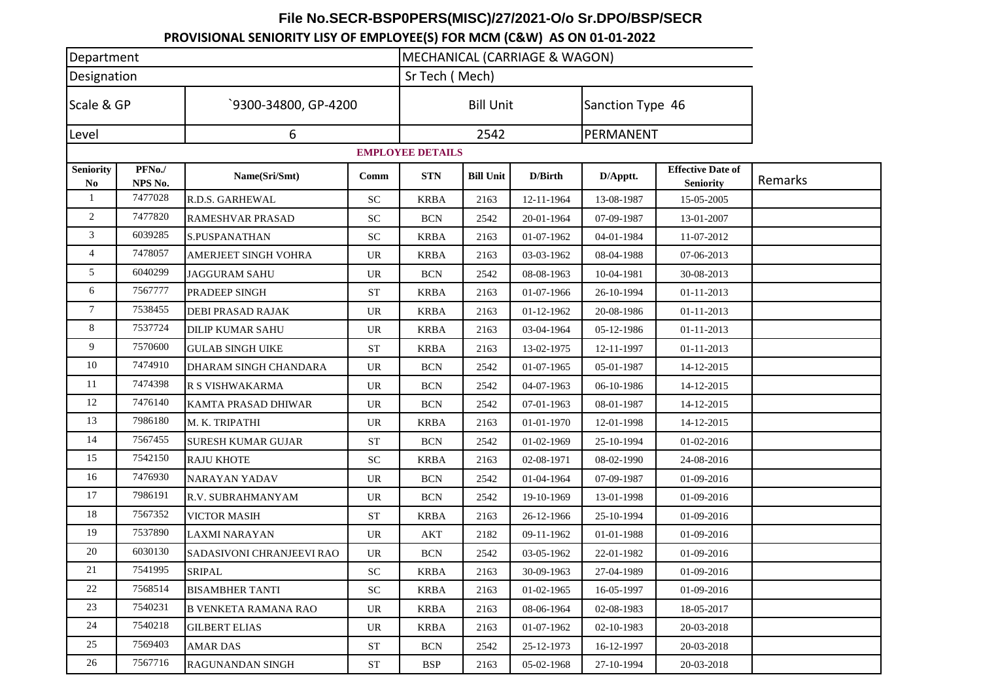## **File No.SECR-BSP0PERS(MISC)/27/2021-O/o Sr.DPO/BSP/SECR**

**PROVISIONAL SENIORITY LISY OF EMPLOYEE(S) FOR MCM (C&W) AS ON 01-01-2022**

| Department                         |                   |                              | MECHANICAL (CARRIAGE & WAGON) |                  |                  |                  |                  |                                              |         |
|------------------------------------|-------------------|------------------------------|-------------------------------|------------------|------------------|------------------|------------------|----------------------------------------------|---------|
| Designation                        |                   |                              | Sr Tech (Mech)                |                  |                  |                  |                  |                                              |         |
| Scale & GP<br>Level                |                   | 9300-34800, GP-4200          |                               | <b>Bill Unit</b> |                  |                  | Sanction Type 46 |                                              |         |
|                                    |                   | 6                            |                               |                  | 2542             |                  |                  | PERMANENT                                    |         |
| <b>EMPLOYEE DETAILS</b>            |                   |                              |                               |                  |                  |                  |                  |                                              |         |
| <b>Seniority</b><br>N <sub>0</sub> | PFNo./<br>NPS No. | Name(Sri/Smt)                | Comm                          | <b>STN</b>       | <b>Bill Unit</b> | D/Birth          | D/Apptt.         | <b>Effective Date of</b><br><b>Seniority</b> | Remarks |
| -1                                 | 7477028           | R.D.S. GARHEWAL              | <b>SC</b>                     | <b>KRBA</b>      | 2163             | 12-11-1964       | 13-08-1987       | 15-05-2005                                   |         |
| 2                                  | 7477820           | <b>RAMESHVAR PRASAD</b>      | <b>SC</b>                     | <b>BCN</b>       | 2542             | 20-01-1964       | 07-09-1987       | 13-01-2007                                   |         |
| 3                                  | 6039285           | <b>S.PUSPANATHAN</b>         | SC                            | <b>KRBA</b>      | 2163             | 01-07-1962       | 04-01-1984       | 11-07-2012                                   |         |
| 4                                  | 7478057           | <b>AMERJEET SINGH VOHRA</b>  | <b>UR</b>                     | <b>KRBA</b>      | 2163             | 03-03-1962       | 08-04-1988       | 07-06-2013                                   |         |
| 5                                  | 6040299           | <b>JAGGURAM SAHU</b>         | <b>UR</b>                     | <b>BCN</b>       | 2542             | 08-08-1963       | 10-04-1981       | 30-08-2013                                   |         |
| 6                                  | 7567777           | <b>PRADEEP SINGH</b>         | <b>ST</b>                     | <b>KRBA</b>      | 2163             | 01-07-1966       | 26-10-1994       | 01-11-2013                                   |         |
| 7                                  | 7538455           | <b>DEBI PRASAD RAJAK</b>     | UR                            | <b>KRBA</b>      | 2163             | 01-12-1962       | 20-08-1986       | 01-11-2013                                   |         |
| 8                                  | 7537724           | <b>DILIP KUMAR SAHU</b>      | <b>UR</b>                     | <b>KRBA</b>      | 2163             | 03-04-1964       | 05-12-1986       | 01-11-2013                                   |         |
| 9                                  | 7570600           | <b>GULAB SINGH UIKE</b>      | <b>ST</b>                     | <b>KRBA</b>      | 2163             | 13-02-1975       | 12-11-1997       | 01-11-2013                                   |         |
| 10                                 | 7474910           | <b>DHARAM SINGH CHANDARA</b> | UR                            | <b>BCN</b>       | 2542             | 01-07-1965       | 05-01-1987       | 14-12-2015                                   |         |
| 11                                 | 7474398           | R S VISHWAKARMA              | <b>UR</b>                     | <b>BCN</b>       | 2542             | 04-07-1963       | 06-10-1986       | 14-12-2015                                   |         |
| 12                                 | 7476140           | KAMTA PRASAD DHIWAR          | <b>UR</b>                     | <b>BCN</b>       | 2542             | 07-01-1963       | 08-01-1987       | 14-12-2015                                   |         |
| 13                                 | 7986180           | M. K. TRIPATHI               | UR                            | KRBA             | 2163             | $01 - 01 - 1970$ | 12-01-1998       | 14-12-2015                                   |         |
| 14                                 | 7567455           | <b>SURESH KUMAR GUJAR</b>    | <b>ST</b>                     | <b>BCN</b>       | 2542             | 01-02-1969       | 25-10-1994       | 01-02-2016                                   |         |
| 15                                 | 7542150           | <b>RAJU KHOTE</b>            | SC                            | <b>KRBA</b>      | 2163             | 02-08-1971       | 08-02-1990       | 24-08-2016                                   |         |
| 16                                 | 7476930           | <b>NARAYAN YADAV</b>         | UR                            | <b>BCN</b>       | 2542             | 01-04-1964       | 07-09-1987       | 01-09-2016                                   |         |
| 17                                 | 7986191           | R.V. SUBRAHMANYAM            | <b>UR</b>                     | <b>BCN</b>       | 2542             | 19-10-1969       | 13-01-1998       | 01-09-2016                                   |         |
| 18                                 | 7567352           | <b>VICTOR MASIH</b>          | <b>ST</b>                     | <b>KRBA</b>      | 2163             | 26-12-1966       | 25-10-1994       | 01-09-2016                                   |         |
| 19                                 | 7537890           | <b>LAXMI NARAYAN</b>         | UR                            | AKT              | 2182             | 09-11-1962       | 01-01-1988       | 01-09-2016                                   |         |
| 20                                 | 6030130           | SADASIVONI CHRANJEEVI RAO    | <b>UR</b>                     | <b>BCN</b>       | 2542             | 03-05-1962       | 22-01-1982       | 01-09-2016                                   |         |
| 21                                 | 7541995           | SRIPAL                       | ${\rm SC}$                    | <b>KRBA</b>      | 2163             | 30-09-1963       | 27-04-1989       | 01-09-2016                                   |         |
| 22                                 | 7568514           | <b>BISAMBHER TANTI</b>       | SC                            | KRBA             | 2163             | 01-02-1965       | 16-05-1997       | 01-09-2016                                   |         |
| 23                                 | 7540231           | <b>B VENKETA RAMANA RAO</b>  | <b>UR</b>                     | <b>KRBA</b>      | 2163             | 08-06-1964       | 02-08-1983       | 18-05-2017                                   |         |
| 24                                 | 7540218           | <b>GILBERT ELIAS</b>         | UR.                           | <b>KRBA</b>      | 2163             | 01-07-1962       | 02-10-1983       | 20-03-2018                                   |         |
| 25                                 | 7569403           | AMAR DAS                     | ST                            | <b>BCN</b>       | 2542             | 25-12-1973       | 16-12-1997       | 20-03-2018                                   |         |
| 26                                 | 7567716           | <b>RAGUNANDAN SINGH</b>      | <b>ST</b>                     | <b>BSP</b>       | 2163             | 05-02-1968       | 27-10-1994       | 20-03-2018                                   |         |